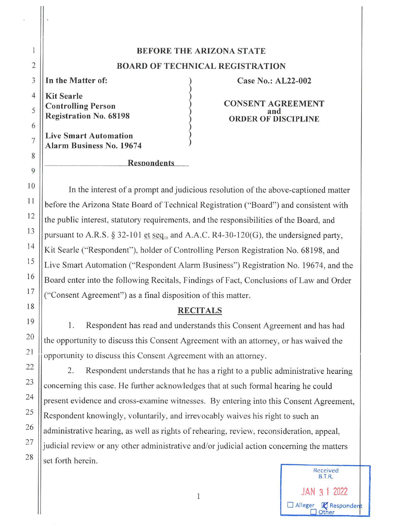# **BEFORE THE ARIZONA STATE BOARD OF TECHNICAL REGISTRATION**

 $\begin{pmatrix} 1 \\ 0 \\ 0 \\ 0 \\ 0 \end{pmatrix}$ 

 $\begin{pmatrix} 1 \\ 2 \\ 3 \end{pmatrix}$ 

**In the Matter of:** 

**Kit Searle Controlling Person Registration No. 68198** 

**Live Smart Automation Alarm Business No. 19674** 

### **Resnondents**

**Case No.: AL22-002** 

**CONSENT AGREEMENT and ORDER OF DISCIPLINE** 

In the interest of a prompt and judicious resolution of the above-captioned matter before the Arizona State Board of Technical Registration ("Board") and consistent with the public interest, statutory requirements, and the responsibilities of the Board, and pursuant to A.R.S.  $\S 32$ -101 et seq., and A.A.C. R4-30-120(G), the undersigned party, Kit Searle ("Respondent"), holder of Controlling Person Registration No. 68198, and Live Smart Automation ("Respondent Alarm Business") Registration No. 19674, and the Board enter into the following Recitals, Findings of Fact, Conclusions of Law and Order ("Consent Agreement") as a final disposition of this matter.

## **RECITALS**

1. Respondent has read and understands this Consent Agreement and has had the opportunity to discuss this Consent Agreement with an attorney, or has waived the opportunity io discuss this Consent Agreement with an attorney.

2. Respondent understands that he has a right to a public administrative hearing concerning this case. He further acknowledges that at such formal hearing he could present evidence and cross-examine witnesses. By entering into this Consent Agreement, Respondent knowingly, voluntarily, and irrevocably waives his right to such an administrative hearing, as well as rights of rehearing, review, reconsideration, appeal, judicial review or any other administrative and/or judicial action concerning the matters set forth herein.



28

2

 $\,$   $\,$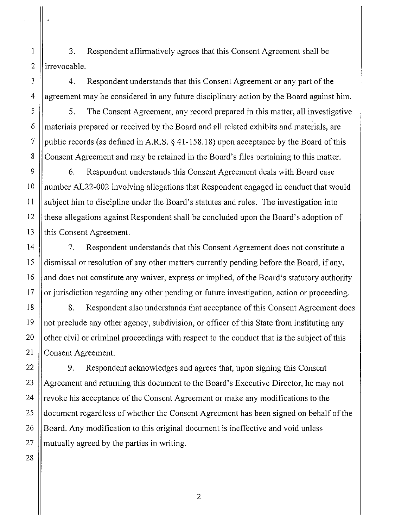1 3. Respondent affirmatively agrees that this Consent Agreement shall be  $2$  lirrevocable.

3 | 4. Respondent understands that this Consent Agreement or any part of the  $4 \parallel$  agreement may be considered in any future disciplinary action by the Board against him.

5 5. The Consent Agreement, any record prepared in this matter, all investigative 6 materials prepared or received by the Board and all related exhibits and materials, are 7 || public records (as defined in A.R.S.  $\S$  41-158.18) upon acceptance by the Board of this 8 Consent Agreement and may be retained in the Board's files pertaining to this matter.

9 | 6. Respondent understands this Consent Agreement deals with Board case 10 || number AL22-002 involving allegations that Respondent engaged in conduct that would 11 subject him to discipline under the Board's statutes and rules. The investigation into 12 these allegations against Respondent shall be concluded upon the Board's adoption of 13 || this Consent Agreement.

14 7. Respondent understands that this Consent Agreement does not constitute a 15 dismissal or resolution of any other matters currently pending before the Board, if any,  $16$  || and does not constitute any waiver, express or implied, of the Board's statutory authority  $17$  | or jurisdiction regarding any other pending or future investigation, action or proceeding.

18 || 8. Respondent also understands that acceptance of this Consent Agreement does 19 not preclude any other agency, subdivision, or officer of this State from instituting any 20  $\parallel$  other civil or criminal proceedings with respect to the conduct that is the subject of this 21 | Consent Agreement.

22 | 9. Respondent acknowledges and agrees that, upon signing this Consent 23 Agreement and returning this document to the Board's Executive Director, he may not 24  $\parallel$  revoke his acceptance of the Consent Agreement or make any modifications to the 25 document regardless of whether the Consent Agreement has been signed on behalf of the  $26 \parallel$  Board. Any modification to this original document is ineffective and void unless  $27$  || mutually agreed by the parties in writing.

28

2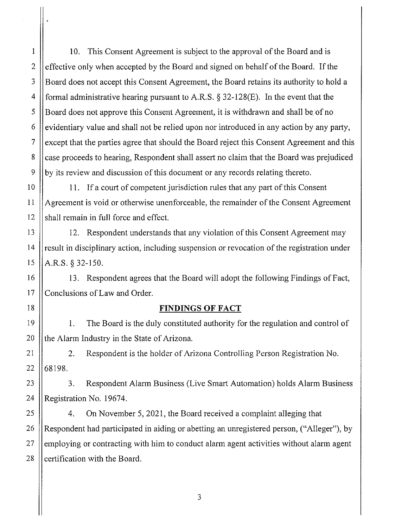I 10. This Consent Agreement is subject to the approval of the Board and is 2 effective only when accepted by the Board and signed on behalf of the Board. If the 3 Board does not accept this Consent Agreement, the Board retains its authority to hold a 4 formal administrative hearing pursuant to A.R.S.  $\S$  32-128(E). In the event that the 5 S Board does not approve this Consent Agreement, it is withdrawn and shall be of no  $6 \parallel$  evidentiary value and shall not be relied upon nor introduced in any action by any party,  $7 \parallel$  except that the parties agree that should the Board reject this Consent Agreement and this 8 case proceeds to hearing, Respondent shall assert no claim that the Board was prejudiced  $9 \parallel$  by its review and discussion of this document or any records relating thereto.

10 || 11. If a court of competent jurisdiction rules that any part of this Consent 11 Agreement is void or otherwise unenforceable, the remainder of the Consent Agreement  $12$  shall remain in full force and effect.

13 | 12. Respondent understands that any violation of this Consent Agreement may  $14$  || result in disciplinary action, including suspension or revocation of the registration under 15  $|$  A.R.S. § 32-150.

16 || 13. Respondent agrees that the Board will adopt the following Findings of Fact, 17 Conclusions of Law and Order.

### 18 **FINDINGS OF FACT**

19 1. The Board is the duly constituted authority for the regulation and control of 20  $\parallel$  the Alarm Industry in the State of Arizona.

21 | 2. Respondent is the holder of Arizona Controlling Person Registration No.  $22 \mid 68198.$ 

23 | 3. Respondent Alarm Business (Live Smart Automation) holds Alarm Business 24 | Registration No. 19674.

25 | 4. On November 5, 2021, the Board received a complaint alleging that 26 || Respondent had participated in aiding or abetting an unregistered person, ("Alleger"), by  $27$  ||employing or contracting with him to conduct alarm agent activities without alarm agent 28  $\parallel$  certification with the Board.

3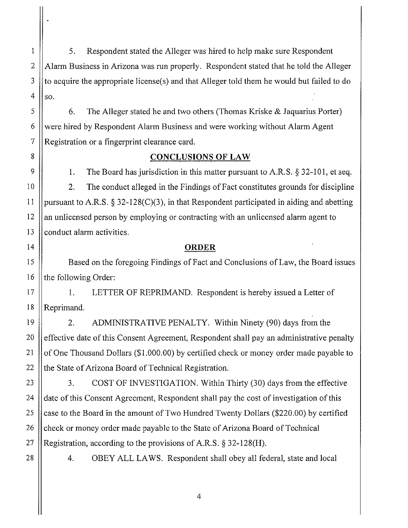1 5. Respondent stated the Alleger was hired to help make sure Respondent 2  $\parallel$  Alarm Business in Arizona was run properly. Respondent stated that he told the Alleger  $3 \parallel$  to acquire the appropriate license(s) and that Alleger told them he would but failed to do 4  $\parallel$  so.

 $5 \parallel$  6. The Alleger stated he and two others (Thomas Kriske & Jaquarius Porter) 6 Were hired by Respondent Alarm Business and were working without Alarm Agent  $7$  | Registration or a fingerprint clearance card.

## 8 **CONCLUSIONS OF LAW**

9  $\parallel$  1. The Board has jurisdiction in this matter pursuant to A.R.S. § 32-101, et seq. 10 2. The conduct alleged in the Findings of Fact constitutes grounds for discipline 11 | pursuant to A.R.S.  $\S 32-128(C)(3)$ , in that Respondent participated in aiding and abetting  $12$  || an unlicensed person by employing or contracting with an unlicensed alarm agent to  $13$   $\parallel$  conduct alarm activities.

## 14 **ORDER**

15 Based on the foregoing Findings of Fact and Conclusions of Law, the Board issues 16  $\parallel$  the following Order:

17 | 1. LETTER OF REPRIMAND. Respondent is hereby issued a Letter of 18 ||Reprimand.

19 | 2. ADMINISTRATIVE PENALTY. Within Ninety (90) days from the  $\parallel$  effective date of this Consent Agreement, Respondent shall pay an administrative penalty  $\parallel$  of One Thousand Dollars (\$1,000.00) by certified check or money order made payable to  $\parallel$  the State of Arizona Board of Technical Registration.

 $23$   $\parallel$  3. COST OF INVESTIGATION. Within Thirty (30) days from the effective 24 date of this Consent Agreement, Respondent shall pay the cost of investigation of this 25  $\parallel$  case to the Board in the amount of Two Hundred Twenty Dollars (\$220.00) by certified 26 Check or money order made payable to the State of Arizona Board of Technical 27 || Registration, according to the provisions of A.R.S.  $\S$  32-128(H).

28 | 4. OBEY ALL LAWS. Respondent shall obey all federal, state and local

4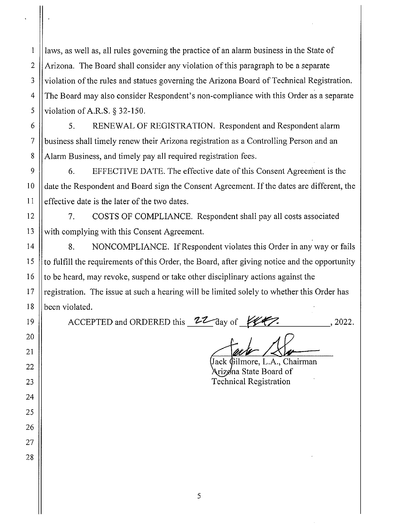laws, as well as, all rules governing the practice of an alarm business in the State of 2 | Arizona. The Board shall consider any violation of this paragraph to be a separate 3 Violation of the rules and statues governing the Arizona Board of Technical Registration. 4 The Board may also consider Respondent's non-compliance with this Order as a separate 5 Violation of A.R.S.  $8\,32-150$ .

6 | 5. RENEWAL OF REGISTRATION. Respondent and Respondent alarm 7 business shall timely renew their Arizona registration as a Controlling Person and an 8 Alarm Business, and timely pay all required registration fees.

9  $\parallel$  6. EFFECTIVE DATE. The effective date of this Consent Agreement is the 10 date the Respondent and Board sign the Consent Agreement. If the dates are different, the  $11$  | effective date is the later of the two dates.

12 7. COSTS OF COMPLIANCE. Respondent shall pay all costs associated  $13$  With complying with this Consent Agreement.

14 | 8. NONCOMPLIANCE. If Respondent violates this Order in any way or fails 15  $\parallel$  to fulfill the requirements of this Order, the Board, after giving notice and the opportunity 16  $\parallel$  to be heard, may revoke, suspend or take other disciplinary actions against the 17 || registration. The issue at such a hearing will be limited solely to whether this Order has 18 **been** violated.

ACCEPTED and ORDERED this **22** day of **ILERCE**, 2022.

19

 $\mathbbm{1}$ 

20

21

22

23

24

25

26

27

28

Jack Gilmore, L.A., Chairman Arizøna State Board of Technical Registration

5